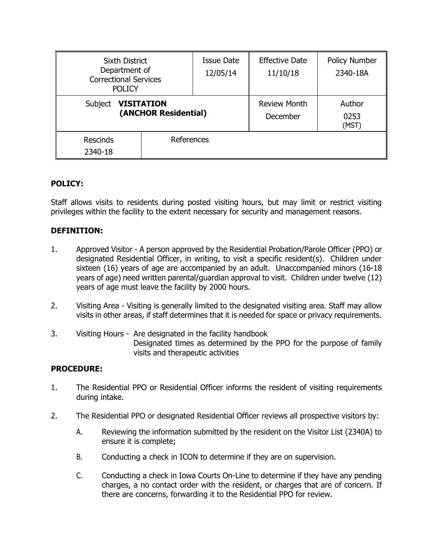| Sixth District<br>Department of<br><b>Correctional Services</b><br><b>POLICY</b> |            | <b>Issue Date</b><br>12/05/14   | <b>Effective Date</b><br>11/10/18 | Policy Number<br>2340-18A |
|----------------------------------------------------------------------------------|------------|---------------------------------|-----------------------------------|---------------------------|
| <b>VISITATION</b><br>Subject<br>(ANCHOR Residential)                             |            | <b>Review Month</b><br>December | Author<br>0253<br>(MST)           |                           |
| <b>Rescinds</b><br>2340-18                                                       | References |                                 |                                   |                           |

# **POLICY:**

Staff allows visits to residents during posted visiting hours, but may limit or restrict visiting privileges within the facility to the extent necessary for security and management reasons.

### **DEFINITION:**

- 1. Approved Visitor A person approved by the Residential Probation/Parole Officer (PPO) or designated Residential Officer, in writing, to visit a specific resident(s). Children under sixteen (16) years of age are accompanied by an adult. Unaccompanied minors (16-18 years of age) need written parental/guardian approval to visit. Children under twelve (12) years of age must leave the facility by 2000 hours.
- 2. Visiting Area Visiting is generally limited to the designated visiting area. Staff may allow visits in other areas, if staff determines that it is needed for space or privacy requirements.
- 3. Visiting Hours Are designated in the facility handbook Designated times as determined by the PPO for the purpose of family visits and therapeutic activities

### **PROCEDURE:**

- 1. The Residential PPO or Residential Officer informs the resident of visiting requirements during intake.
- 2. The Residential PPO or designated Residential Officer reviews all prospective visitors by:
	- A. Reviewing the information submitted by the resident on the Visitor List (2340A) to ensure it is complete;
	- B. Conducting a check in ICON to determine if they are on supervision.
	- C. Conducting a check in Iowa Courts On-Line to determine if they have any pending charges, a no contact order with the resident, or charges that are of concern. If there are concerns, forwarding it to the Residential PPO for review.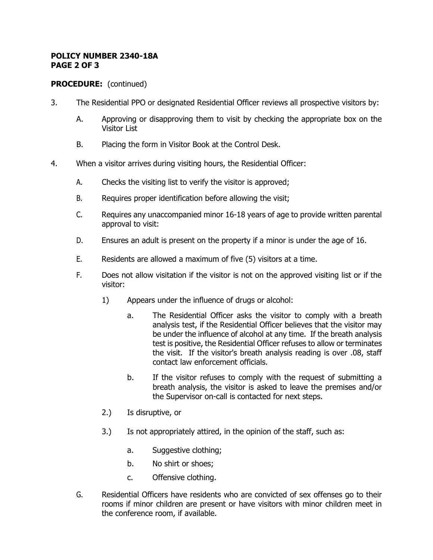#### **POLICY NUMBER 2340-18A PAGE 2 OF 3**

# **PROCEDURE:** (continued)

- 3. The Residential PPO or designated Residential Officer reviews all prospective visitors by:
	- A. Approving or disapproving them to visit by checking the appropriate box on the Visitor List
	- B. Placing the form in Visitor Book at the Control Desk.
- 4. When a visitor arrives during visiting hours, the Residential Officer:
	- A. Checks the visiting list to verify the visitor is approved;
	- B. Requires proper identification before allowing the visit;
	- C. Requires any unaccompanied minor 16-18 years of age to provide written parental approval to visit:
	- D. Ensures an adult is present on the property if a minor is under the age of 16.
	- E. Residents are allowed a maximum of five (5) visitors at a time.
	- F. Does not allow visitation if the visitor is not on the approved visiting list or if the visitor:
		- 1) Appears under the influence of drugs or alcohol:
			- a. The Residential Officer asks the visitor to comply with a breath analysis test, if the Residential Officer believes that the visitor may be under the influence of alcohol at any time. If the breath analysis test is positive, the Residential Officer refuses to allow or terminates the visit. If the visitor's breath analysis reading is over .08, staff contact law enforcement officials.
			- b. If the visitor refuses to comply with the request of submitting a breath analysis, the visitor is asked to leave the premises and/or the Supervisor on-call is contacted for next steps.
		- 2.) Is disruptive, or
		- 3.) Is not appropriately attired, in the opinion of the staff, such as:
			- a. Suggestive clothing;
			- b. No shirt or shoes;
			- c. Offensive clothing.
	- G. Residential Officers have residents who are convicted of sex offenses go to their rooms if minor children are present or have visitors with minor children meet in the conference room, if available.